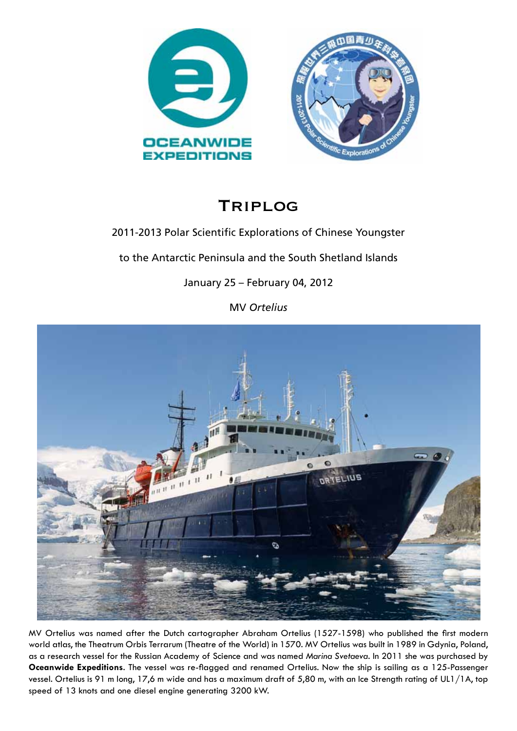

# Triplog

# 2011-2013 Polar Scientific Explorations of Chinese Youngster

to the Antarctic Peninsula and the South Shetland Islands

January 25 – February 04, 2012

MV *Ortelius*



MV Ortelius was named after the Dutch cartographer Abraham Ortelius (1527-1598) who published the first modern world atlas, the Theatrum Orbis Terrarum (Theatre of the World) in 1570. MV Ortelius was built in 1989 in Gdynia, Poland, as a research vessel for the Russian Academy of Science and was named *Marina Svetaeva*. In 2011 she was purchased by **Oceanwide Expeditions**. The vessel was re-flagged and renamed Ortelius. Now the ship is sailing as a 125-Passenger vessel. Ortelius is 91 m long, 17,6 m wide and has a maximum draft of 5,80 m, with an Ice Strength rating of UL1/1A, top speed of 13 knots and one diesel engine generating 3200 kW.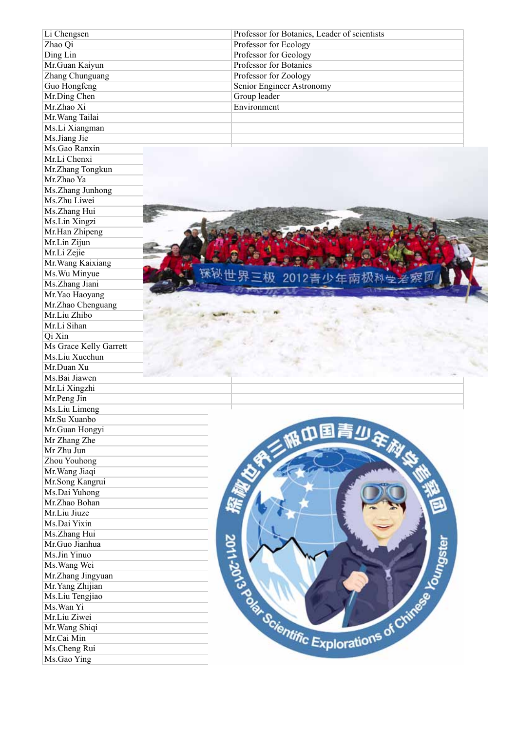| Li Chengsen            | Professor for Botanics, Leader of scientists                      |
|------------------------|-------------------------------------------------------------------|
| Zhao Qi                | Professor for Ecology                                             |
| Ding Lin               | Professor for Geology                                             |
| Mr.Guan Kaiyun         | Professor for Botanics                                            |
| Zhang Chunguang        | Professor for Zoology                                             |
| Guo Hongfeng           | Senior Engineer Astronomy                                         |
| Mr.Ding Chen           | Group leader                                                      |
| Mr.Zhao Xi             | Environment                                                       |
| Mr. Wang Tailai        |                                                                   |
| Ms.Li Xiangman         |                                                                   |
| Ms.Jiang Jie           |                                                                   |
| Ms.Gao Ranxin          |                                                                   |
| Mr.Li Chenxi           |                                                                   |
| Mr.Zhang Tongkun       |                                                                   |
| Mr.Zhao Ya             |                                                                   |
| Ms.Zhang Junhong       |                                                                   |
| Ms.Zhu Liwei           |                                                                   |
|                        |                                                                   |
| Ms.Zhang Hui           |                                                                   |
| Ms.Lin Xingzi          |                                                                   |
| Mr.Han Zhipeng         |                                                                   |
| Mr.Lin Zijun           |                                                                   |
| Mr.Li Zejie            |                                                                   |
| Mr. Wang Kaixiang      |                                                                   |
| Ms. Wu Minyue          | 2012青少年南极科                                                        |
| Ms.Zhang Jiani         |                                                                   |
| Mr.Yao Haoyang         |                                                                   |
| Mr.Zhao Chenguang      |                                                                   |
| Mr.Liu Zhibo           |                                                                   |
| Mr.Li Sihan            |                                                                   |
| Qi Xin                 |                                                                   |
| Ms Grace Kelly Garrett |                                                                   |
| Ms.Liu Xuechun         |                                                                   |
| Mr.Duan Xu             |                                                                   |
| Ms.Bai Jiawen          |                                                                   |
| Mr.Li Xingzhi          |                                                                   |
| Mr.Peng Jin            |                                                                   |
| Ms.Liu Limeng          |                                                                   |
| Mr.Su Xuanbo           |                                                                   |
| Mr.Guan Hongyi         | 服巾围青少年旅                                                           |
| Mr Zhang Zhe           |                                                                   |
| Mr Zhu Jun             |                                                                   |
|                        |                                                                   |
| Zhou Youhong           |                                                                   |
| Mr. Wang Jiaqi         |                                                                   |
| Mr.Song Kangrui        |                                                                   |
| Ms.Dai Yuhong          |                                                                   |
| Mr.Zhao Bohan          |                                                                   |
| Mr.Liu Jiuze           |                                                                   |
| Ms.Dai Yixin           |                                                                   |
| Ms.Zhang Hui           |                                                                   |
| Mr.Guo Jianhua         |                                                                   |
| Ms.Jin Yinuo           |                                                                   |
| Ms. Wang Wei           |                                                                   |
| Mr.Zhang Jingyuan      | <b>SCIENTIFIC Explorations of Chinese La Country Control 2018</b> |
| Mr. Yang Zhijian       |                                                                   |
| Ms.Liu Tengjiao        |                                                                   |
| Ms. Wan Yi             |                                                                   |
| Mr.Liu Ziwei           |                                                                   |
| Mr. Wang Shiqi         |                                                                   |
| Mr.Cai Min             |                                                                   |
| Ms.Cheng Rui           |                                                                   |
| Ms.Gao Ying            |                                                                   |
|                        |                                                                   |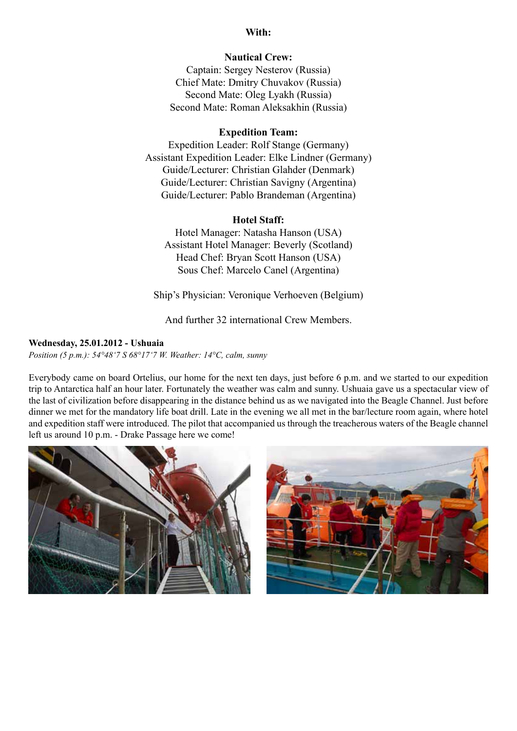### **With:**

# **Nautical Crew:**

Captain: Sergey Nesterov (Russia) Chief Mate: Dmitry Chuvakov (Russia) Second Mate: Oleg Lyakh (Russia) Second Mate: Roman Aleksakhin (Russia)

# **Expedition Team:**

Expedition Leader: Rolf Stange (Germany) Assistant Expedition Leader: Elke Lindner (Germany) Guide/Lecturer: Christian Glahder (Denmark) Guide/Lecturer: Christian Savigny (Argentina) Guide/Lecturer: Pablo Brandeman (Argentina)

#### **Hotel Staff:**

Hotel Manager: Natasha Hanson (USA) Assistant Hotel Manager: Beverly (Scotland) Head Chef: Bryan Scott Hanson (USA) Sous Chef: Marcelo Canel (Argentina)

Ship's Physician: Veronique Verhoeven (Belgium)

And further 32 international Crew Members.

#### **Wednesday, 25.01.2012 - Ushuaia**

*Position (5 p.m.): 54°48'7 S 68°17'7 W. Weather: 14°C, calm, sunny*

Everybody came on board Ortelius, our home for the next ten days, just before 6 p.m. and we started to our expedition trip to Antarctica half an hour later. Fortunately the weather was calm and sunny. Ushuaia gave us a spectacular view of the last of civilization before disappearing in the distance behind us as we navigated into the Beagle Channel. Just before dinner we met for the mandatory life boat drill. Late in the evening we all met in the bar/lecture room again, where hotel and expedition staff were introduced. The pilot that accompanied us through the treacherous waters of the Beagle channel left us around 10 p.m. - Drake Passage here we come!



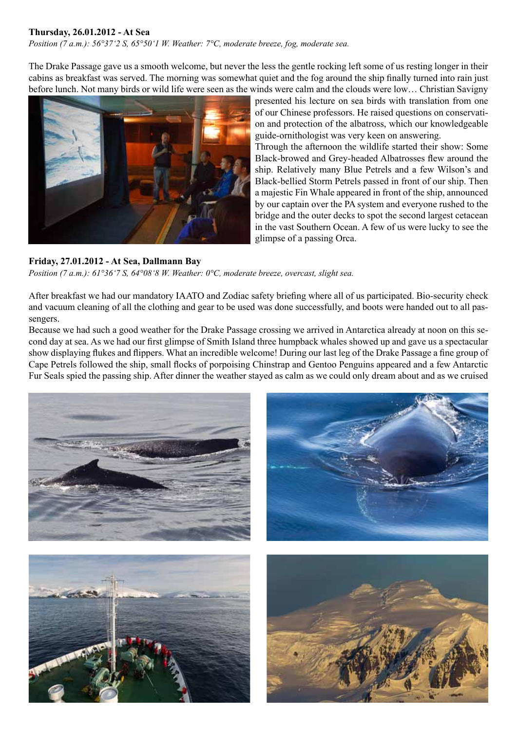# **Thursday, 26.01.2012 - At Sea**

*Position (7 a.m.): 56°37'2 S, 65°50'1 W. Weather: 7°C, moderate breeze, fog, moderate sea.*

The Drake Passage gave us a smooth welcome, but never the less the gentle rocking left some of us resting longer in their cabins as breakfast was served. The morning was somewhat quiet and the fog around the ship finally turned into rain just before lunch. Not many birds or wild life were seen as the winds were calm and the clouds were low… Christian Savigny



#### **Friday, 27.01.2012 - At Sea, Dallmann Bay**

presented his lecture on sea birds with translation from one of our Chinese professors. He raised questions on conservation and protection of the albatross, which our knowledgeable guide-ornithologist was very keen on answering.

Through the afternoon the wildlife started their show: Some Black-browed and Grey-headed Albatrosses flew around the ship. Relatively many Blue Petrels and a few Wilson's and Black-bellied Storm Petrels passed in front of our ship. Then a majestic Fin Whale appeared in front of the ship, announced by our captain over the PA system and everyone rushed to the bridge and the outer decks to spot the second largest cetacean in the vast Southern Ocean. A few of us were lucky to see the glimpse of a passing Orca.

*Position (7 a.m.): 61°36'7 S, 64°08'8 W. Weather: 0°C, moderate breeze, overcast, slight sea.*

After breakfast we had our mandatory IAATO and Zodiac safety briefing where all of us participated. Bio-security check and vacuum cleaning of all the clothing and gear to be used was done successfully, and boots were handed out to all passengers.

Because we had such a good weather for the Drake Passage crossing we arrived in Antarctica already at noon on this second day at sea. As we had our first glimpse of Smith Island three humpback whales showed up and gave us a spectacular show displaying flukes and flippers. What an incredible welcome! During our last leg of the Drake Passage a fine group of Cape Petrels followed the ship, small flocks of porpoising Chinstrap and Gentoo Penguins appeared and a few Antarctic Fur Seals spied the passing ship. After dinner the weather stayed as calm as we could only dream about and as we cruised

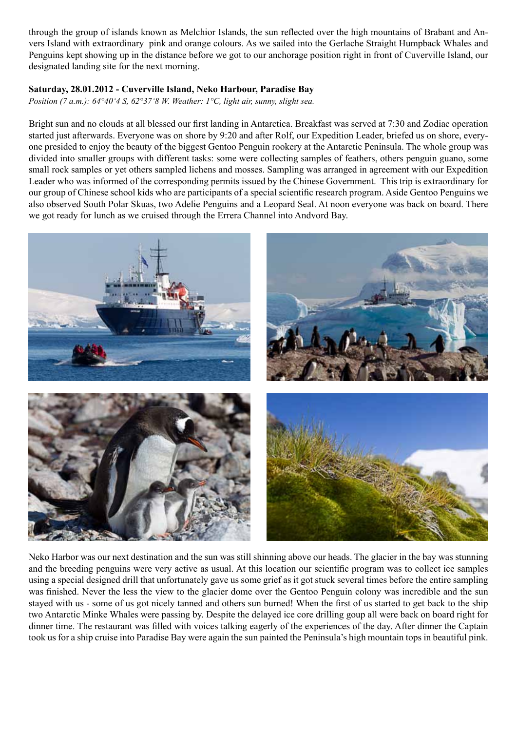through the group of islands known as Melchior Islands, the sun reflected over the high mountains of Brabant and Anvers Island with extraordinary pink and orange colours. As we sailed into the Gerlache Straight Humpback Whales and Penguins kept showing up in the distance before we got to our anchorage position right in front of Cuverville Island, our designated landing site for the next morning.

# **Saturday, 28.01.2012 - Cuverville Island, Neko Harbour, Paradise Bay**

*Position (7 a.m.): 64°40'4 S, 62°37'8 W. Weather: 1°C, light air, sunny, slight sea.*

Bright sun and no clouds at all blessed our first landing in Antarctica. Breakfast was served at 7:30 and Zodiac operation started just afterwards. Everyone was on shore by 9:20 and after Rolf, our Expedition Leader, briefed us on shore, everyone presided to enjoy the beauty of the biggest Gentoo Penguin rookery at the Antarctic Peninsula. The whole group was divided into smaller groups with different tasks: some were collecting samples of feathers, others penguin guano, some small rock samples or yet others sampled lichens and mosses. Sampling was arranged in agreement with our Expedition Leader who was informed of the corresponding permits issued by the Chinese Government. This trip is extraordinary for our group of Chinese school kids who are participants of a special scientific research program. Aside Gentoo Penguins we also observed South Polar Skuas, two Adelie Penguins and a Leopard Seal. At noon everyone was back on board. There we got ready for lunch as we cruised through the Errera Channel into Andvord Bay.



Neko Harbor was our next destination and the sun was still shinning above our heads. The glacier in the bay was stunning and the breeding penguins were very active as usual. At this location our scientific program was to collect ice samples using a special designed drill that unfortunately gave us some grief as it got stuck several times before the entire sampling was finished. Never the less the view to the glacier dome over the Gentoo Penguin colony was incredible and the sun stayed with us - some of us got nicely tanned and others sun burned! When the first of us started to get back to the ship two Antarctic Minke Whales were passing by. Despite the delayed ice core drilling goup all were back on board right for dinner time. The restaurant was filled with voices talking eagerly of the experiences of the day. After dinner the Captain took us for a ship cruise into Paradise Bay were again the sun painted the Peninsula's high mountain tops in beautiful pink.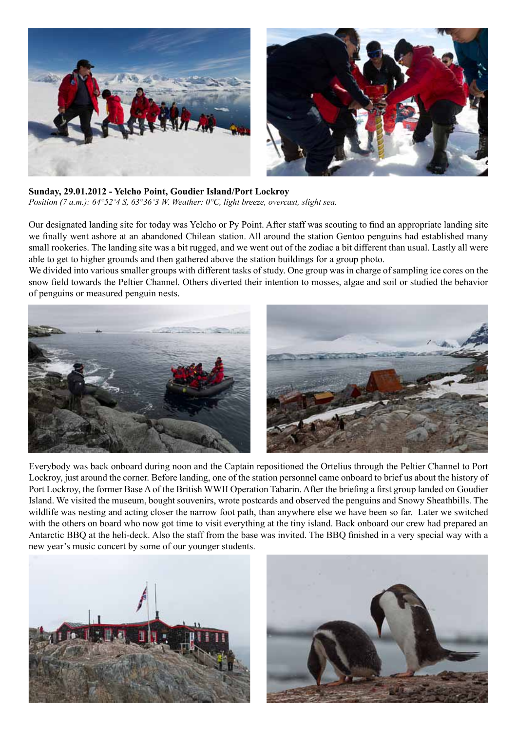

**Sunday, 29.01.2012 - Yelcho Point, Goudier Island/Port Lockroy** *Position (7 a.m.): 64°52'4 S, 63°36'3 W. Weather: 0°C, light breeze, overcast, slight sea.*

Our designated landing site for today was Yelcho or Py Point. After staff was scouting to find an appropriate landing site we finally went ashore at an abandoned Chilean station. All around the station Gentoo penguins had established many small rookeries. The landing site was a bit rugged, and we went out of the zodiac a bit different than usual. Lastly all were able to get to higher grounds and then gathered above the station buildings for a group photo.

We divided into various smaller groups with different tasks of study. One group was in charge of sampling ice cores on the snow field towards the Peltier Channel. Others diverted their intention to mosses, algae and soil or studied the behavior of penguins or measured penguin nests.



Everybody was back onboard during noon and the Captain repositioned the Ortelius through the Peltier Channel to Port Lockroy, just around the corner. Before landing, one of the station personnel came onboard to brief us about the history of Port Lockroy, the former Base A of the British WWII Operation Tabarin. After the briefing a first group landed on Goudier Island. We visited the museum, bought souvenirs, wrote postcards and observed the penguins and Snowy Sheathbills. The wildlife was nesting and acting closer the narrow foot path, than anywhere else we have been so far. Later we switched with the others on board who now got time to visit everything at the tiny island. Back onboard our crew had prepared an Antarctic BBQ at the heli-deck. Also the staff from the base was invited. The BBQ finished in a very special way with a new year's music concert by some of our younger students.



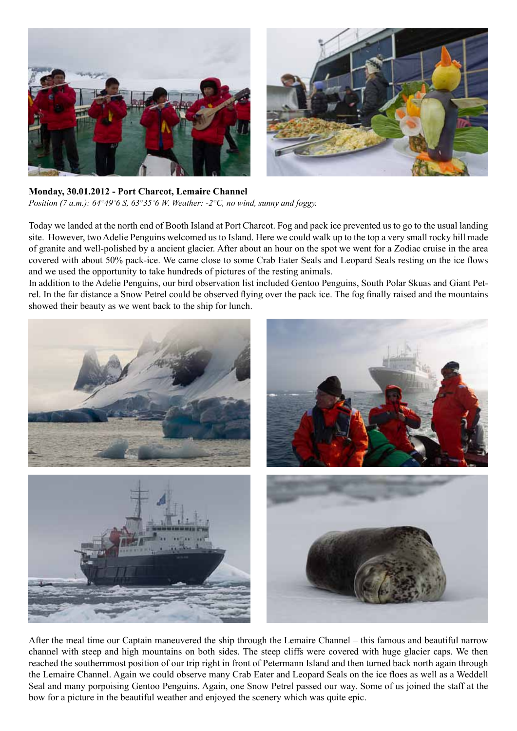

**Monday, 30.01.2012 - Port Charcot, Lemaire Channel** *Position (7 a.m.): 64°49'6 S, 63°35'6 W. Weather: -2°C, no wind, sunny and foggy.*

Today we landed at the north end of Booth Island at Port Charcot. Fog and pack ice prevented us to go to the usual landing site. However, two Adelie Penguins welcomed us to Island. Here we could walk up to the top a very small rocky hill made of granite and well-polished by a ancient glacier. After about an hour on the spot we went for a Zodiac cruise in the area covered with about 50% pack-ice. We came close to some Crab Eater Seals and Leopard Seals resting on the ice flows and we used the opportunity to take hundreds of pictures of the resting animals.

In addition to the Adelie Penguins, our bird observation list included Gentoo Penguins, South Polar Skuas and Giant Petrel. In the far distance a Snow Petrel could be observed flying over the pack ice. The fog finally raised and the mountains showed their beauty as we went back to the ship for lunch.



After the meal time our Captain maneuvered the ship through the Lemaire Channel – this famous and beautiful narrow channel with steep and high mountains on both sides. The steep cliffs were covered with huge glacier caps. We then reached the southernmost position of our trip right in front of Petermann Island and then turned back north again through the Lemaire Channel. Again we could observe many Crab Eater and Leopard Seals on the ice floes as well as a Weddell Seal and many porpoising Gentoo Penguins. Again, one Snow Petrel passed our way. Some of us joined the staff at the bow for a picture in the beautiful weather and enjoyed the scenery which was quite epic.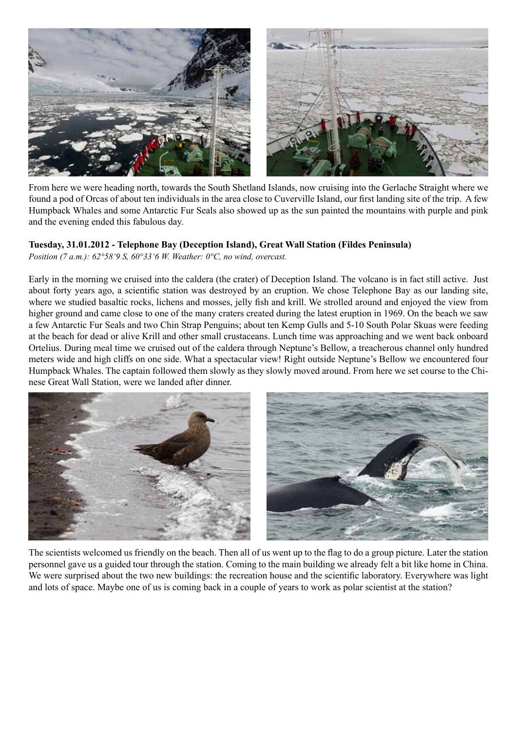

From here we were heading north, towards the South Shetland Islands, now cruising into the Gerlache Straight where we found a pod of Orcas of about ten individuals in the area close to Cuverville Island, our first landing site of the trip. A few Humpback Whales and some Antarctic Fur Seals also showed up as the sun painted the mountains with purple and pink and the evening ended this fabulous day.

#### **Tuesday, 31.01.2012 - Telephone Bay (Deception Island), Great Wall Station (Fildes Peninsula)**

*Position (7 a.m.): 62°58'9 S, 60°33'6 W. Weather: 0°C, no wind, overcast.*

Early in the morning we cruised into the caldera (the crater) of Deception Island. The volcano is in fact still active. Just about forty years ago, a scientific station was destroyed by an eruption. We chose Telephone Bay as our landing site, where we studied basaltic rocks, lichens and mosses, jelly fish and krill. We strolled around and enjoyed the view from higher ground and came close to one of the many craters created during the latest eruption in 1969. On the beach we saw a few Antarctic Fur Seals and two Chin Strap Penguins; about ten Kemp Gulls and 5-10 South Polar Skuas were feeding at the beach for dead or alive Krill and other small crustaceans. Lunch time was approaching and we went back onboard Ortelius. During meal time we cruised out of the caldera through Neptune's Bellow, a treacherous channel only hundred meters wide and high cliffs on one side. What a spectacular view! Right outside Neptune's Bellow we encountered four Humpback Whales. The captain followed them slowly as they slowly moved around. From here we set course to the Chinese Great Wall Station, were we landed after dinner.



The scientists welcomed us friendly on the beach. Then all of us went up to the flag to do a group picture. Later the station personnel gave us a guided tour through the station. Coming to the main building we already felt a bit like home in China. We were surprised about the two new buildings: the recreation house and the scientific laboratory. Everywhere was light and lots of space. Maybe one of us is coming back in a couple of years to work as polar scientist at the station?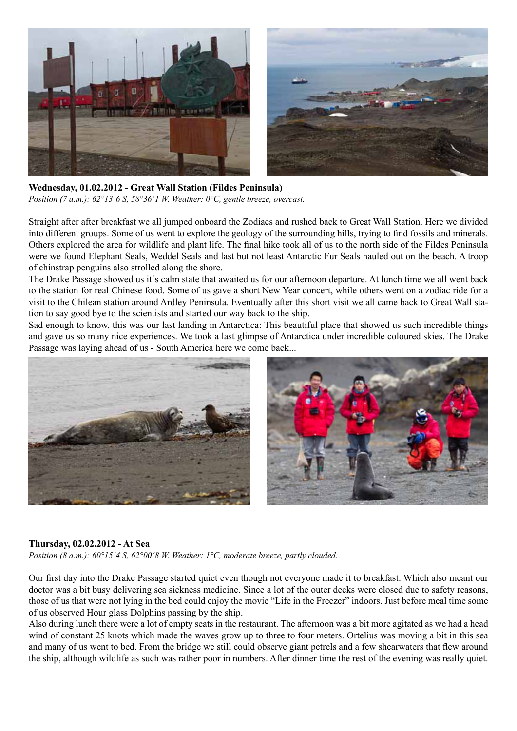

**Wednesday, 01.02.2012 - Great Wall Station (Fildes Peninsula)** *Position (7 a.m.): 62°13'6 S, 58°36'1 W. Weather: 0°C, gentle breeze, overcast.*

Straight after after breakfast we all jumped onboard the Zodiacs and rushed back to Great Wall Station. Here we divided into different groups. Some of us went to explore the geology of the surrounding hills, trying to find fossils and minerals. Others explored the area for wildlife and plant life. The final hike took all of us to the north side of the Fildes Peninsula were we found Elephant Seals, Weddel Seals and last but not least Antarctic Fur Seals hauled out on the beach. A troop of chinstrap penguins also strolled along the shore.

The Drake Passage showed us it´s calm state that awaited us for our afternoon departure. At lunch time we all went back to the station for real Chinese food. Some of us gave a short New Year concert, while others went on a zodiac ride for a visit to the Chilean station around Ardley Peninsula. Eventually after this short visit we all came back to Great Wall station to say good bye to the scientists and started our way back to the ship.

Sad enough to know, this was our last landing in Antarctica: This beautiful place that showed us such incredible things and gave us so many nice experiences. We took a last glimpse of Antarctica under incredible coloured skies. The Drake Passage was laying ahead of us - South America here we come back...



#### **Thursday, 02.02.2012 - At Sea**

*Position (8 a.m.): 60°15'4 S, 62°00'8 W. Weather: 1°C, moderate breeze, partly clouded.*

Our first day into the Drake Passage started quiet even though not everyone made it to breakfast. Which also meant our doctor was a bit busy delivering sea sickness medicine. Since a lot of the outer decks were closed due to safety reasons, those of us that were not lying in the bed could enjoy the movie "Life in the Freezer" indoors. Just before meal time some of us observed Hour glass Dolphins passing by the ship.

Also during lunch there were a lot of empty seats in the restaurant. The afternoon was a bit more agitated as we had a head wind of constant 25 knots which made the waves grow up to three to four meters. Ortelius was moving a bit in this sea and many of us went to bed. From the bridge we still could observe giant petrels and a few shearwaters that flew around the ship, although wildlife as such was rather poor in numbers. After dinner time the rest of the evening was really quiet.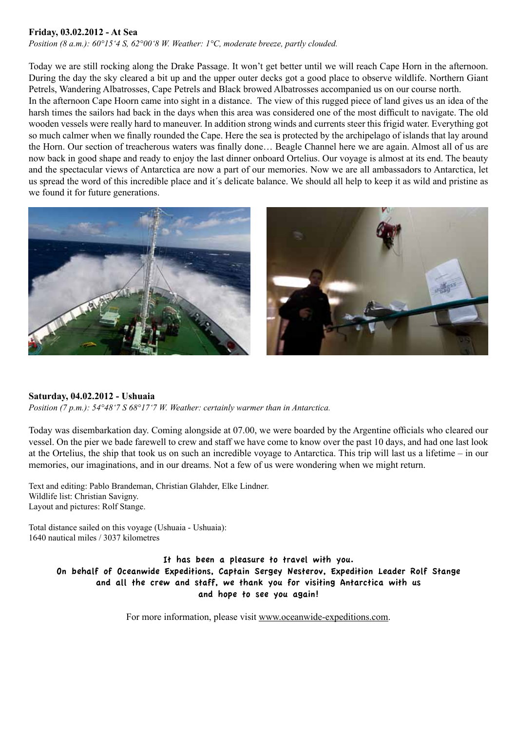#### **Friday, 03.02.2012 - At Sea**

*Position (8 a.m.): 60°15'4 S, 62°00'8 W. Weather: 1°C, moderate breeze, partly clouded.*

Today we are still rocking along the Drake Passage. It won't get better until we will reach Cape Horn in the afternoon. During the day the sky cleared a bit up and the upper outer decks got a good place to observe wildlife. Northern Giant Petrels, Wandering Albatrosses, Cape Petrels and Black browed Albatrosses accompanied us on our course north. In the afternoon Cape Hoorn came into sight in a distance. The view of this rugged piece of land gives us an idea of the harsh times the sailors had back in the days when this area was considered one of the most difficult to navigate. The old wooden vessels were really hard to maneuver. In addition strong winds and currents steer this frigid water. Everything got so much calmer when we finally rounded the Cape. Here the sea is protected by the archipelago of islands that lay around the Horn. Our section of treacherous waters was finally done… Beagle Channel here we are again. Almost all of us are now back in good shape and ready to enjoy the last dinner onboard Ortelius. Our voyage is almost at its end. The beauty and the spectacular views of Antarctica are now a part of our memories. Now we are all ambassadors to Antarctica, let us spread the word of this incredible place and it´s delicate balance. We should all help to keep it as wild and pristine as we found it for future generations.



#### **Saturday, 04.02.2012 - Ushuaia**

*Position (7 p.m.): 54°48'7 S 68°17'7 W. Weather: certainly warmer than in Antarctica.*

Today was disembarkation day. Coming alongside at 07.00, we were boarded by the Argentine officials who cleared our vessel. On the pier we bade farewell to crew and staff we have come to know over the past 10 days, and had one last look at the Ortelius, the ship that took us on such an incredible voyage to Antarctica. This trip will last us a lifetime – in our memories, our imaginations, and in our dreams. Not a few of us were wondering when we might return.

Text and editing: Pablo Brandeman, Christian Glahder, Elke Lindner. Wildlife list: Christian Savigny. Layout and pictures: Rolf Stange.

Total distance sailed on this voyage (Ushuaia - Ushuaia): 1640 nautical miles / 3037 kilometres

> It has been a pleasure to travel with you. On behalf of Oceanwide Expeditions, Captain Sergey Nesterov, Expedition Leader Rolf Stange and all the crew and staff, we thank you for visiting Antarctica with us and hope to see you again!

> > For more information, please visit www.oceanwide-expeditions.com.